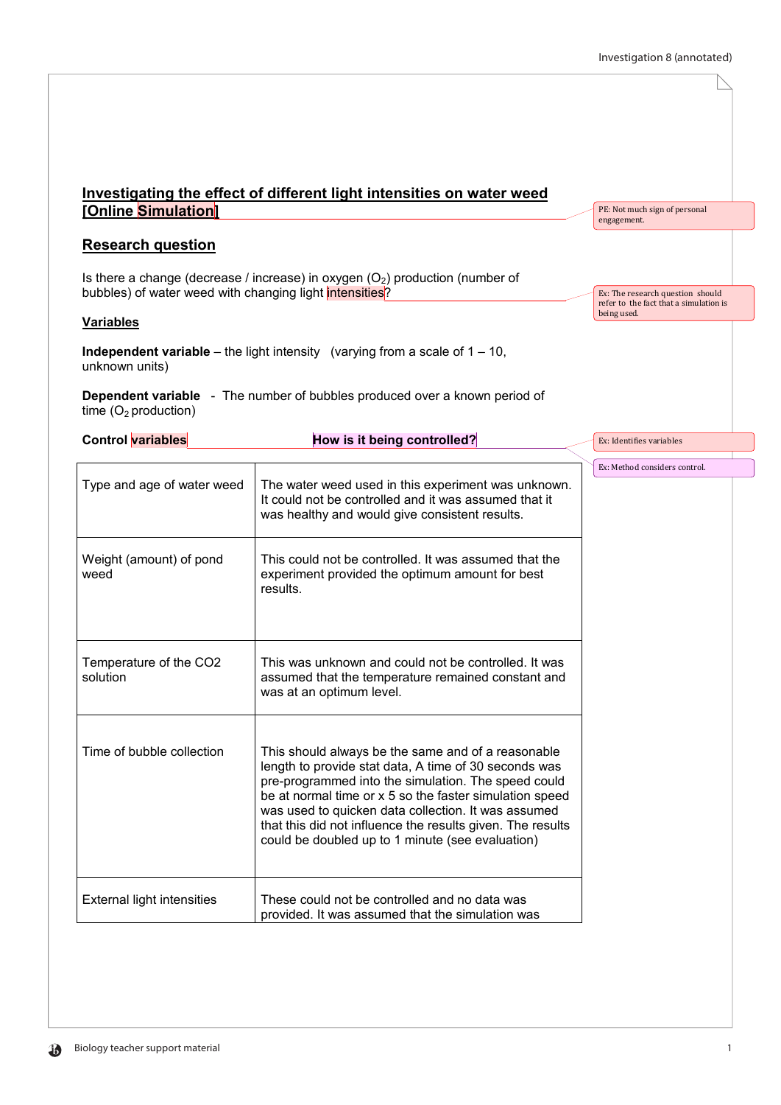$\mathbb N$ 

|                                                         | Investigating the effect of different light intensities on water weed                                                                                                                                                                                                                                                                                                                                  |                                                       |
|---------------------------------------------------------|--------------------------------------------------------------------------------------------------------------------------------------------------------------------------------------------------------------------------------------------------------------------------------------------------------------------------------------------------------------------------------------------------------|-------------------------------------------------------|
| [Online Simulation]                                     |                                                                                                                                                                                                                                                                                                                                                                                                        | PE: Not much sign of personal<br>engagement.          |
| <b>Research question</b>                                |                                                                                                                                                                                                                                                                                                                                                                                                        |                                                       |
| bubbles) of water weed with changing light intensities? | Is there a change (decrease / increase) in oxygen $(O_2)$ production (number of                                                                                                                                                                                                                                                                                                                        | Ex: The research question should                      |
| <b>Variables</b>                                        |                                                                                                                                                                                                                                                                                                                                                                                                        | refer to the fact that a simulation is<br>being used. |
| unknown units)                                          | <b>Independent variable</b> – the light intensity (varying from a scale of $1 - 10$ ,                                                                                                                                                                                                                                                                                                                  |                                                       |
| time $(O_2$ production)                                 | <b>Dependent variable</b> - The number of bubbles produced over a known period of                                                                                                                                                                                                                                                                                                                      |                                                       |
| <b>Control variables</b>                                | How is it being controlled?                                                                                                                                                                                                                                                                                                                                                                            | Ex: Identifies variables                              |
|                                                         |                                                                                                                                                                                                                                                                                                                                                                                                        | Ex: Method considers control.                         |
| Type and age of water weed                              | The water weed used in this experiment was unknown.<br>It could not be controlled and it was assumed that it<br>was healthy and would give consistent results.                                                                                                                                                                                                                                         |                                                       |
| Weight (amount) of pond<br>weed                         | This could not be controlled. It was assumed that the<br>experiment provided the optimum amount for best<br>results.                                                                                                                                                                                                                                                                                   |                                                       |
| Temperature of the CO2<br>solution                      | This was unknown and could not be controlled. It was<br>assumed that the temperature remained constant and<br>was at an optimum level.                                                                                                                                                                                                                                                                 |                                                       |
| Time of bubble collection                               | This should always be the same and of a reasonable<br>length to provide stat data, A time of 30 seconds was<br>pre-programmed into the simulation. The speed could<br>be at normal time or x 5 so the faster simulation speed<br>was used to quicken data collection. It was assumed<br>that this did not influence the results given. The results<br>could be doubled up to 1 minute (see evaluation) |                                                       |
| <b>External light intensities</b>                       | These could not be controlled and no data was<br>provided. It was assumed that the simulation was                                                                                                                                                                                                                                                                                                      |                                                       |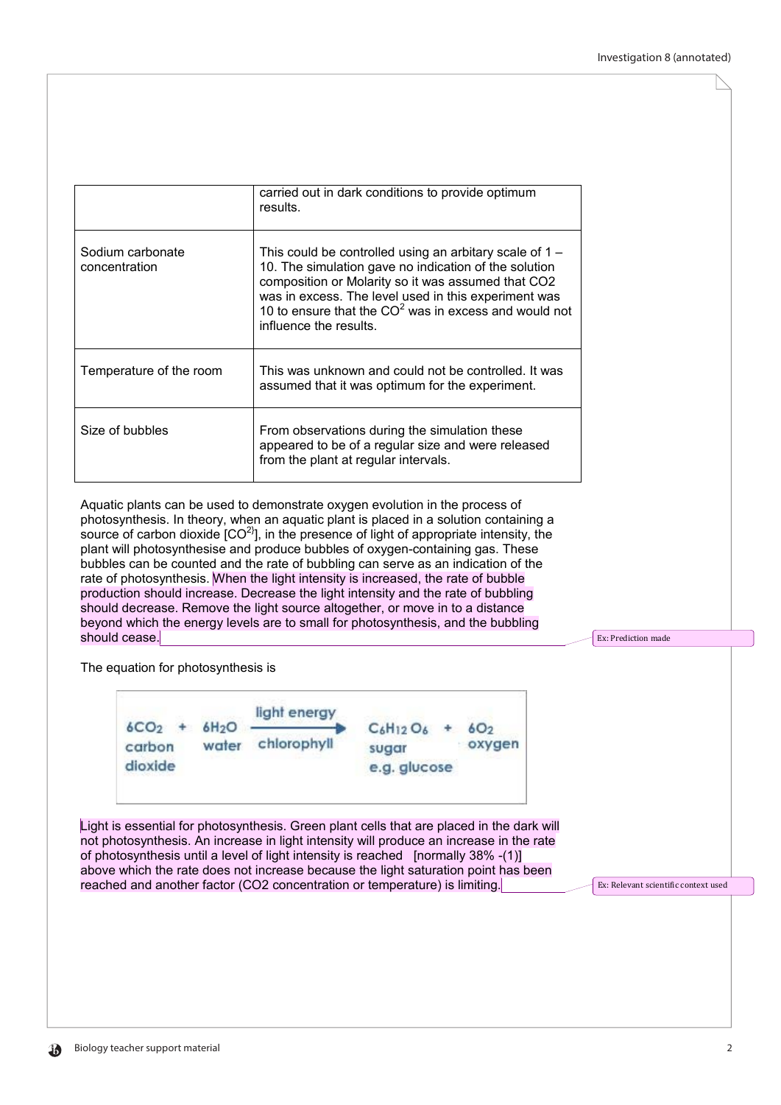|                                   | carried out in dark conditions to provide optimum<br>results.                                                                                                                                                                                                                                                         |
|-----------------------------------|-----------------------------------------------------------------------------------------------------------------------------------------------------------------------------------------------------------------------------------------------------------------------------------------------------------------------|
| Sodium carbonate<br>concentration | This could be controlled using an arbitary scale of $1 -$<br>10. The simulation gave no indication of the solution<br>composition or Molarity so it was assumed that CO2<br>was in excess. The level used in this experiment was<br>10 to ensure that the $CO2$ was in excess and would not<br>influence the results. |
| Temperature of the room           | This was unknown and could not be controlled. It was<br>assumed that it was optimum for the experiment.                                                                                                                                                                                                               |
| Size of bubbles                   | From observations during the simulation these<br>appeared to be of a regular size and were released<br>from the plant at regular intervals.                                                                                                                                                                           |

Aquatic plants can be used to demonstrate oxygen evolution in the process of photosynthesis. In theory, when an aquatic plant is placed in a solution containing a source of carbon dioxide  $[CO<sup>2</sup>]$ , in the presence of light of appropriate intensity, the plant will photosynthesise and produce bubbles of oxygen-containing gas. These bubbles can be counted and the rate of bubbling can serve as an indication of the rate of photosynthesis. When the light intensity is increased, the rate of bubble production should increase. Decrease the light intensity and the rate of bubbling should decrease. Remove the light source altogether, or move in to a distance beyond which the energy levels are to small for photosynthesis, and the bubbling should cease.

The equation for photosynthesis is



Light is essential for photosynthesis. Green plant cells that are placed in the dark will not photosynthesis. An increase in light intensity will produce an increase in the rate of photosynthesis until a level of light intensity is reached [normally 38% -(1)] above which the rate does not increase because the light saturation point has been reached and another factor (CO2 concentration or temperature) is limiting.

Ex: Relevant scientific context used

Ex: Prediction made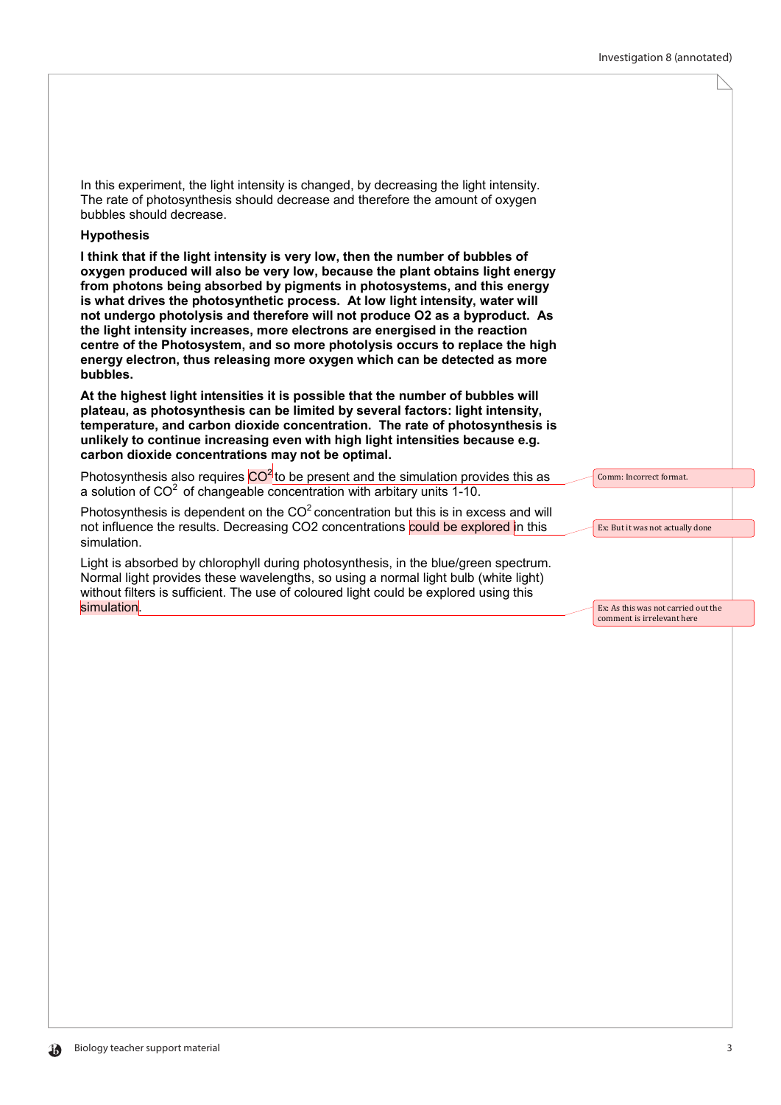Comm: Incorrect format.

Ex: But it was not actually done

Ex: As this was not carried out the comment is irrelevant here

In this experiment, the light intensity is changed, by decreasing the light intensity. The rate of photosynthesis should decrease and therefore the amount of oxygen bubbles should decrease.

### **Hypothesis**

**I think that if the light intensity is very low, then the number of bubbles of oxygen produced will also be very low, because the plant obtains light energy from photons being absorbed by pigments in photosystems, and this energy is what drives the photosynthetic process. At low light intensity, water will not undergo photolysis and therefore will not produce O2 as a byproduct. As the light intensity increases, more electrons are energised in the reaction centre of the Photosystem, and so more photolysis occurs to replace the high energy electron, thus releasing more oxygen which can be detected as more bubbles.**

**At the highest light intensities it is possible that the number of bubbles will plateau, as photosynthesis can be limited by several factors: light intensity, temperature, and carbon dioxide concentration. The rate of photosynthesis is unlikely to continue increasing even with high light intensities because e.g. carbon dioxide concentrations may not be optimal.**

Photosynthesis also requires  $CO<sup>2</sup>$  to be present and the simulation provides this as a solution of  $CO<sup>2</sup>$  of changeable concentration with arbitary units 1-10.

Photosynthesis is dependent on the  $CO<sup>2</sup>$  concentration but this is in excess and will not influence the results. Decreasing CO2 concentrations could be explored in this simulation.

Light is absorbed by chlorophyll during photosynthesis, in the blue/green spectrum. Normal light provides these wavelengths, so using a normal light bulb (white light) without filters is sufficient. The use of coloured light could be explored using this simulation.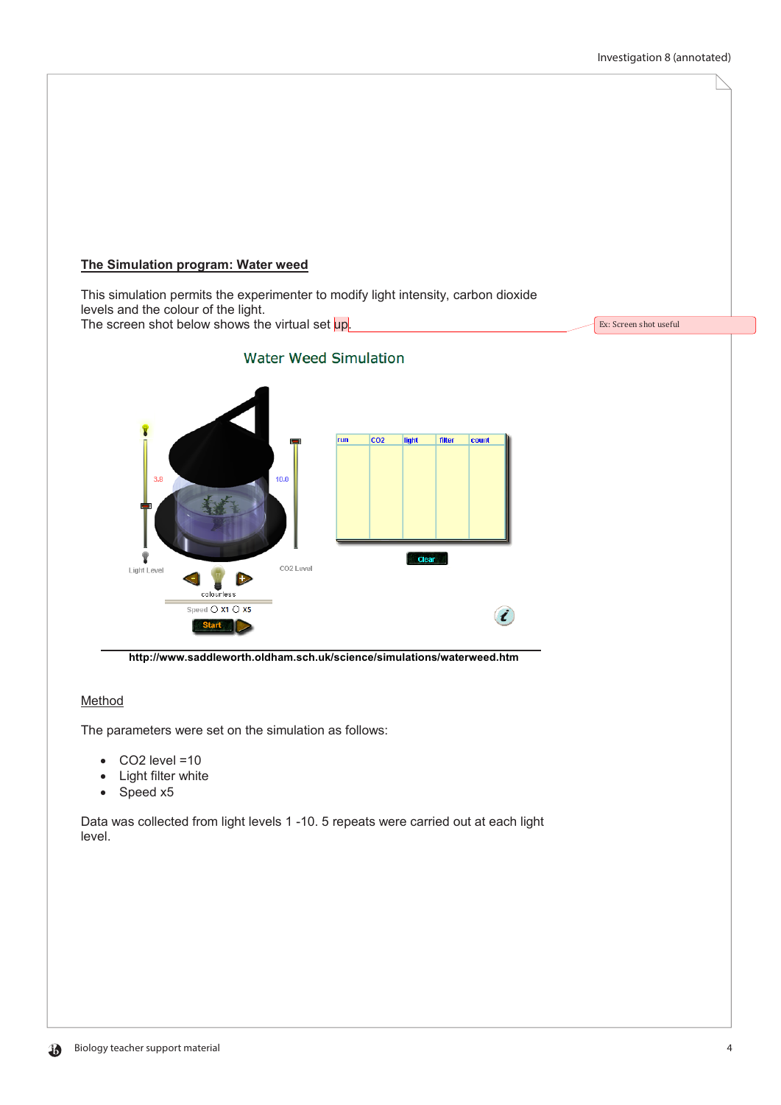Ex: Screen shot useful

## **The Simulation program: Water weed**

This simulation permits the experimenter to modify light intensity, carbon dioxide levels and the colour of the light. The screen shot below shows the virtual set up.

**Water Weed Simulation**  $\overline{co2}$ run filter liaht count  $3.8$  $10.0$ Ÿ Clear CO2 Level Light Level colourless Speed O X1 O X5

**http://www.saddleworth.oldham.sch.uk/science/simulations/waterweed.htm**

## Method

The parameters were set on the simulation as follows:

- CO2 level =10
- **Light filter white**
- Speed x5

Data was collected from light levels 1 -10. 5 repeats were carried out at each light level.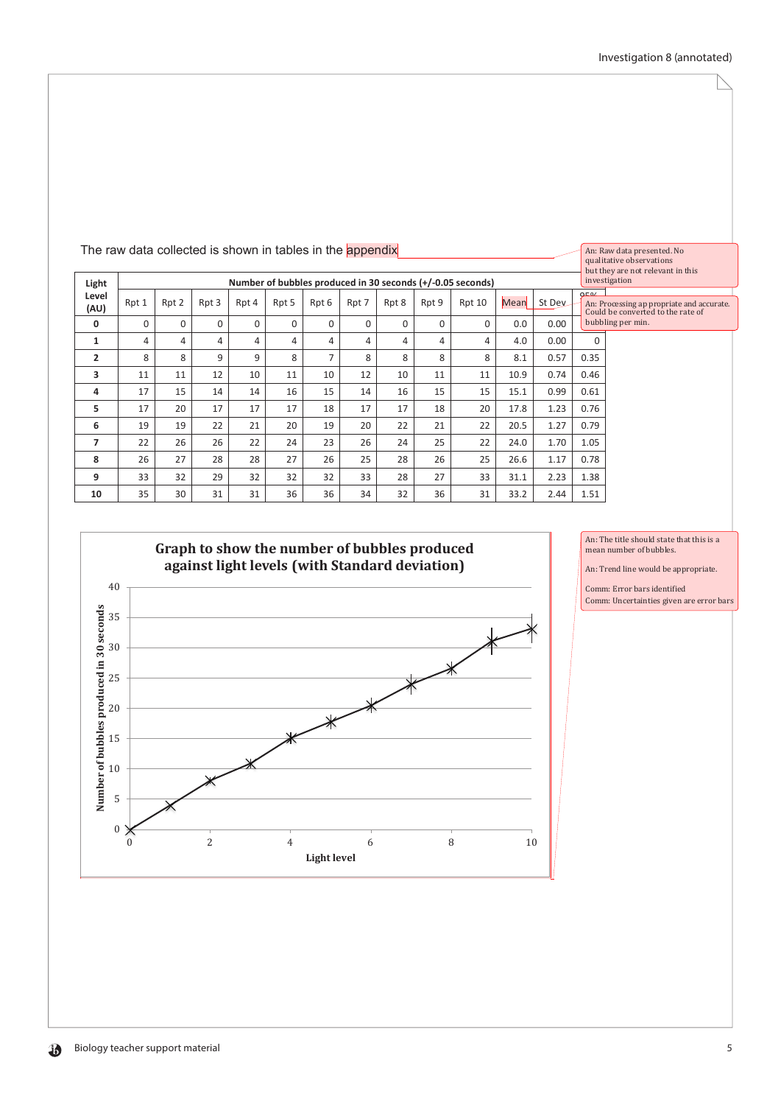|                | The raw data collected is shown in tables in the appendix  |          |          |          |          |          |       |          |               | An: Raw data presented. No<br>qualitative observations | but they are not relevant in this |        |                   |                                                                                |
|----------------|------------------------------------------------------------|----------|----------|----------|----------|----------|-------|----------|---------------|--------------------------------------------------------|-----------------------------------|--------|-------------------|--------------------------------------------------------------------------------|
| Light          | Number of bubbles produced in 30 seconds (+/-0.05 seconds) |          |          |          |          |          |       |          | investigation |                                                        |                                   |        |                   |                                                                                |
| Level<br>(AU)  | Rpt 1                                                      | Rpt 2    | Rpt 3    | Rpt 4    | Rpt 5    | Rpt 6    | Rpt 7 | Rpt 8    | Rpt 9         | Rpt 10                                                 | Mean                              | St Dev | 0F0/              | An: Processing ap propriate and accurate.<br>Could be converted to the rate of |
| 0              | 0                                                          | $\Omega$ | $\Omega$ | $\Omega$ | $\Omega$ | $\Omega$ | 0     | $\Omega$ | 0             | $\Omega$                                               | 0.0                               | 0.00   | bubbling per min. |                                                                                |
| 1              | 4                                                          | 4        | 4        | 4        | 4        | 4        | 4     | 4        | 4             | 4                                                      | 4.0                               | 0.00   | $\Omega$          |                                                                                |
| $\overline{2}$ | 8                                                          | 8        | 9        | 9        | 8        | 7        | 8     | 8        | 8             | 8                                                      | 8.1                               | 0.57   | 0.35              |                                                                                |
| 3              | 11                                                         | 11       | 12       | 10       | 11       | 10       | 12    | 10       | 11            | 11                                                     | 10.9                              | 0.74   | 0.46              |                                                                                |
| 4              | 17                                                         | 15       | 14       | 14       | 16       | 15       | 14    | 16       | 15            | 15                                                     | 15.1                              | 0.99   | 0.61              |                                                                                |
| 5              | 17                                                         | 20       | 17       | 17       | 17       | 18       | 17    | 17       | 18            | 20                                                     | 17.8                              | 1.23   | 0.76              |                                                                                |
| 6              | 19                                                         | 19       | 22       | 21       | 20       | 19       | 20    | 22       | 21            | 22                                                     | 20.5                              | 1.27   | 0.79              |                                                                                |
| 7              | 22                                                         | 26       | 26       | 22       | 24       | 23       | 26    | 24       | 25            | 22                                                     | 24.0                              | 1.70   | 1.05              |                                                                                |
| 8              | 26                                                         | 27       | 28       | 28       | 27       | 26       | 25    | 28       | 26            | 25                                                     | 26.6                              | 1.17   | 0.78              |                                                                                |
| 9              | 33                                                         | 32       | 29       | 32       | 32       | 32       | 33    | 28       | 27            | 33                                                     | 31.1                              | 2.23   | 1.38              |                                                                                |
| 10             | 35                                                         | 30       | 31       | 31       | 36       | 36       | 34    | 32       | 36            | 31                                                     | 33.2                              | 2.44   | 1.51              |                                                                                |



An: The title should state that this is a mean number of bubbles.

An: Trend line would be appropriate.

Comm: Error bars identified Comm: Uncertainties given are error bars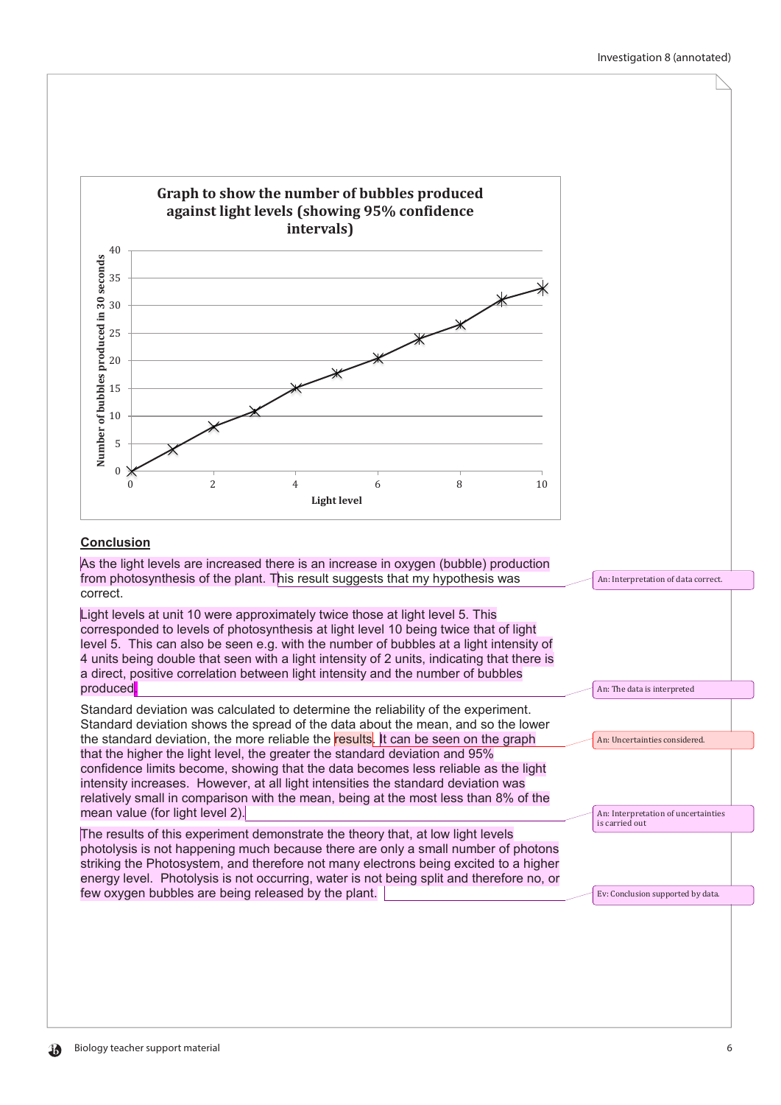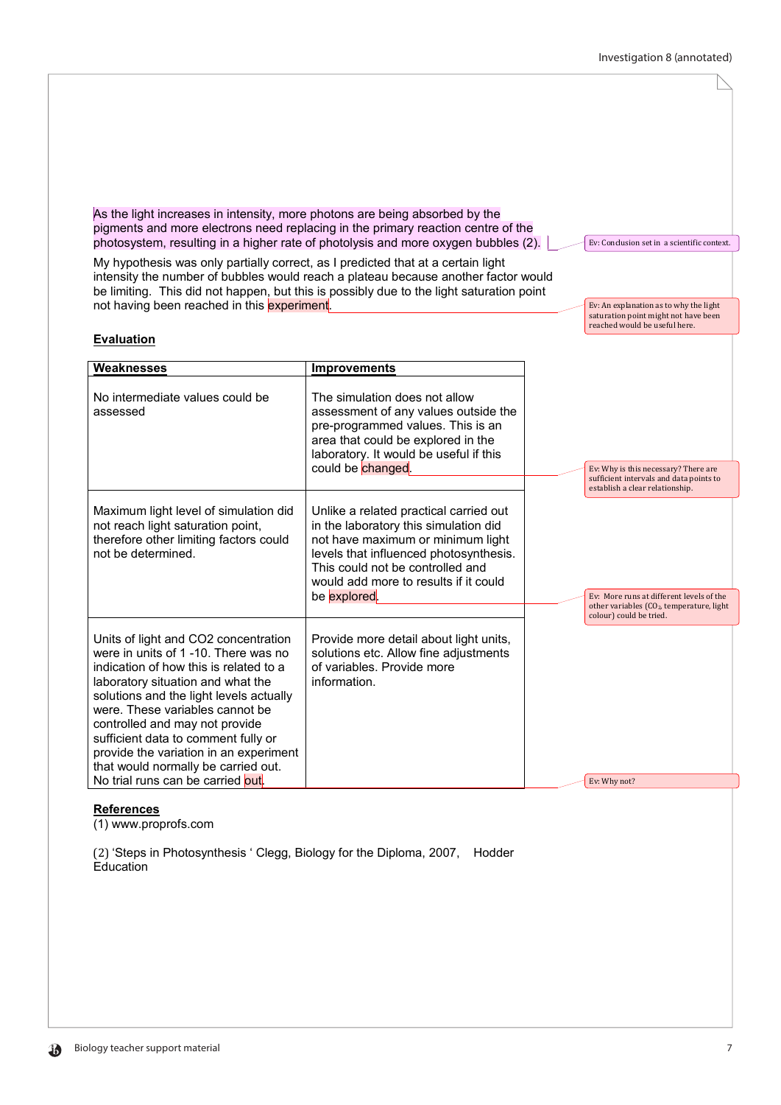| As the light increases in intensity, more photons are being absorbed by the<br>My hypothesis was only partially correct, as I predicted that at a certain light<br>not having been reached in this experiment.                                                                                                                                                                                                                          | pigments and more electrons need replacing in the primary reaction centre of the<br>photosystem, resulting in a higher rate of photolysis and more oxygen bubbles (2).<br>intensity the number of bubbles would reach a plateau because another factor would<br>be limiting. This did not happen, but this is possibly due to the light saturation point | Ev: Conclusion set in a scientific context.<br>Ev: An explanation as to why the light<br>saturation point might not have been<br>reached would be useful here. |
|-----------------------------------------------------------------------------------------------------------------------------------------------------------------------------------------------------------------------------------------------------------------------------------------------------------------------------------------------------------------------------------------------------------------------------------------|----------------------------------------------------------------------------------------------------------------------------------------------------------------------------------------------------------------------------------------------------------------------------------------------------------------------------------------------------------|----------------------------------------------------------------------------------------------------------------------------------------------------------------|
| <b>Evaluation</b><br><b>Weaknesses</b>                                                                                                                                                                                                                                                                                                                                                                                                  | <b>Improvements</b>                                                                                                                                                                                                                                                                                                                                      |                                                                                                                                                                |
| No intermediate values could be<br>assessed                                                                                                                                                                                                                                                                                                                                                                                             | The simulation does not allow<br>assessment of any values outside the<br>pre-programmed values. This is an<br>area that could be explored in the<br>laboratory. It would be useful if this<br>could be changed.                                                                                                                                          | Ev: Why is this necessary? There are<br>sufficient intervals and data points to<br>establish a clear relationship.                                             |
| Maximum light level of simulation did<br>not reach light saturation point,<br>therefore other limiting factors could<br>not be determined.                                                                                                                                                                                                                                                                                              | Unlike a related practical carried out<br>in the laboratory this simulation did<br>not have maximum or minimum light<br>levels that influenced photosynthesis.<br>This could not be controlled and<br>would add more to results if it could<br>be explored.                                                                                              | Ev: More runs at different levels of the<br>other variables (CO <sub>2</sub> , temperature, light<br>colour) could be tried.                                   |
| Units of light and CO2 concentration<br>were in units of 1-10. There was no<br>indication of how this is related to a<br>laboratory situation and what the<br>solutions and the light levels actually<br>were. These variables cannot be<br>controlled and may not provide<br>sufficient data to comment fully or<br>provide the variation in an experiment<br>that would normally be carried out.<br>No trial runs can be carried out. | Provide more detail about light units,<br>solutions etc. Allow fine adjustments<br>of variables. Provide more<br>information.                                                                                                                                                                                                                            | Ev: Why not?                                                                                                                                                   |

# **References**

(1) www.proprofs.com

(2) 'Steps in Photosynthesis ' Clegg, Biology for the Diploma, 2007, Hodder Education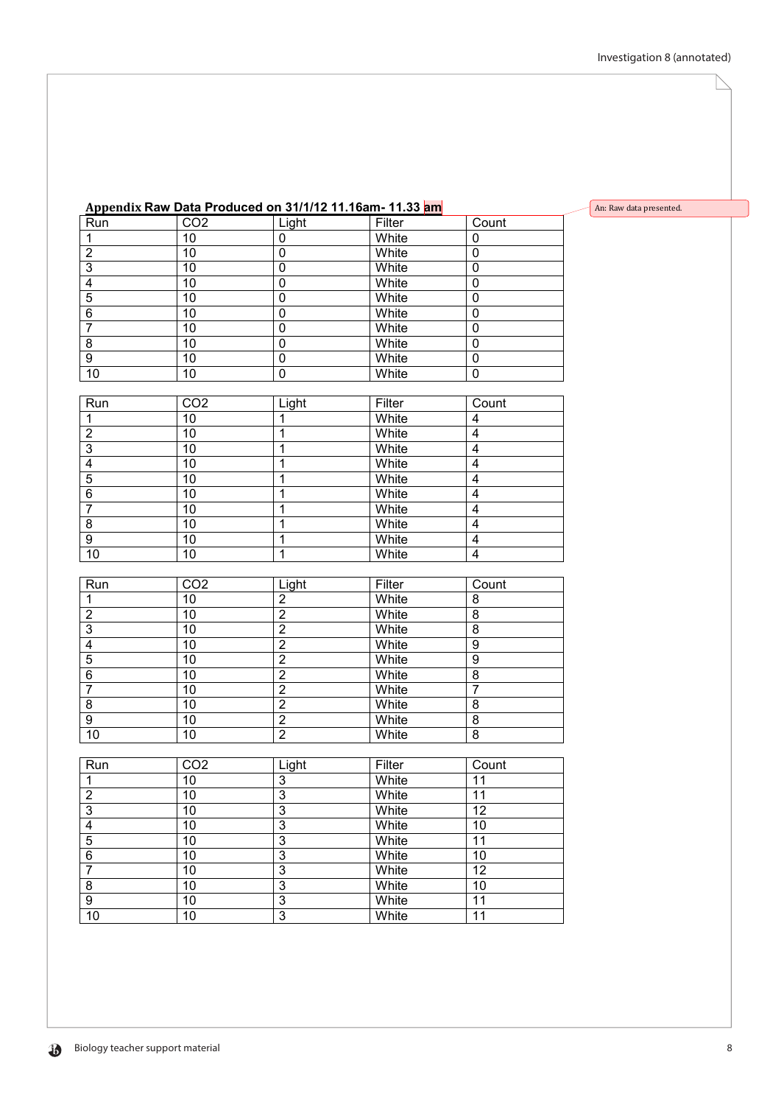# **Appendix Raw Data Produced on 31/1/12 11.16am- 11.33 am**

| 1                       | 10               | 0                       | White             | 0                       |
|-------------------------|------------------|-------------------------|-------------------|-------------------------|
| $\overline{2}$          | 10               | $\overline{0}$          | White             | $\mathbf 0$             |
| $\overline{3}$          | 10               | $\mathbf 0$             | White             | $\mathbf 0$             |
| $\overline{4}$          | 10               | $\mathbf 0$             | White             | $\mathbf 0$             |
| 5                       | 10               | $\overline{0}$          | White             | $\overline{0}$          |
| $\overline{6}$          | 10               | $\mathbf 0$             | White             | $\mathbf 0$             |
| $\overline{7}$          | 10               | $\overline{0}$          | White             | $\mathbf 0$             |
| $\overline{8}$          | 10               | $\overline{0}$          | White             | $\overline{0}$          |
| $\overline{9}$          | 10               | $\mathbf 0$             | White             | $\mathbf 0$             |
| 10                      | 10               | $\overline{0}$          | White             | $\mathbf 0$             |
|                         |                  |                         |                   |                         |
| Run                     | $\overline{CO2}$ | Light                   | Filter            | Count                   |
| 1                       | 10               | 1                       | White             | 4                       |
| $\frac{2}{3}$           | 10               | 1                       | White             | $\overline{\mathbf{4}}$ |
|                         | 10               | 1                       | White             | $\overline{4}$          |
| $\overline{4}$          | 10               | 1                       | White             | $\overline{\mathbf{4}}$ |
| $\overline{5}$          | 10               | 1                       | White             | 4                       |
| $\overline{6}$          | 10               | 1                       | White             | $\overline{4}$          |
| 7                       | 10               | 1                       | White             | $\overline{\mathbf{4}}$ |
| $\overline{8}$          | 10               | 1                       | White             | $\overline{4}$          |
| $\overline{9}$          | 10               | 1                       | White             | $\overline{\mathbf{4}}$ |
| 10                      | 10               | $\overline{1}$          | White             | 4                       |
|                         |                  |                         |                   |                         |
| Run                     | CO <sub>2</sub>  | Light                   | Filter            | Count                   |
| 1                       | 10               | $\overline{\mathbf{c}}$ | White             | 8                       |
| $\overline{2}$          | 10               | $\overline{2}$          | White             | $\overline{8}$          |
| $\overline{3}$          | 10               | $\overline{2}$          | White             | $\overline{8}$          |
| $\overline{\mathbf{4}}$ | 10               | $\overline{2}$          | White             | 9                       |
| $\overline{5}$          | 10               | $\overline{2}$          | White             | $\overline{9}$          |
| $\overline{c}$          | 10               | 5                       | M <sub>hito</sub> | $\overline{\circ}$      |

|    | 10 | White |  |
|----|----|-------|--|
|    | 10 | White |  |
|    | 10 | White |  |
|    | 10 | White |  |
|    | 10 | White |  |
| 10 | 10 | White |  |

| Run | CO <sub>2</sub> | Light | Filter | Count |
|-----|-----------------|-------|--------|-------|
|     | 10              | 3     | White  | 11    |
| 2   | 10              | 3     | White  | 11    |
| 3   | 10              | 3     | White  | 12    |
| 4   | 10              | 3     | White  | 10    |
| 5   | 10              | 3     | White  | 11    |
| 6   | 10              | 3     | White  | 10    |
|     | 10              | 3     | White  | 12    |
| 8   | 10              | 3     | White  | 10    |
| 9   | 10              | 3     | White  | 11    |
| 10  | 10              | 3     | White  | 11    |

#### An: Raw data presented.

 $\overline{\big\vert$  Count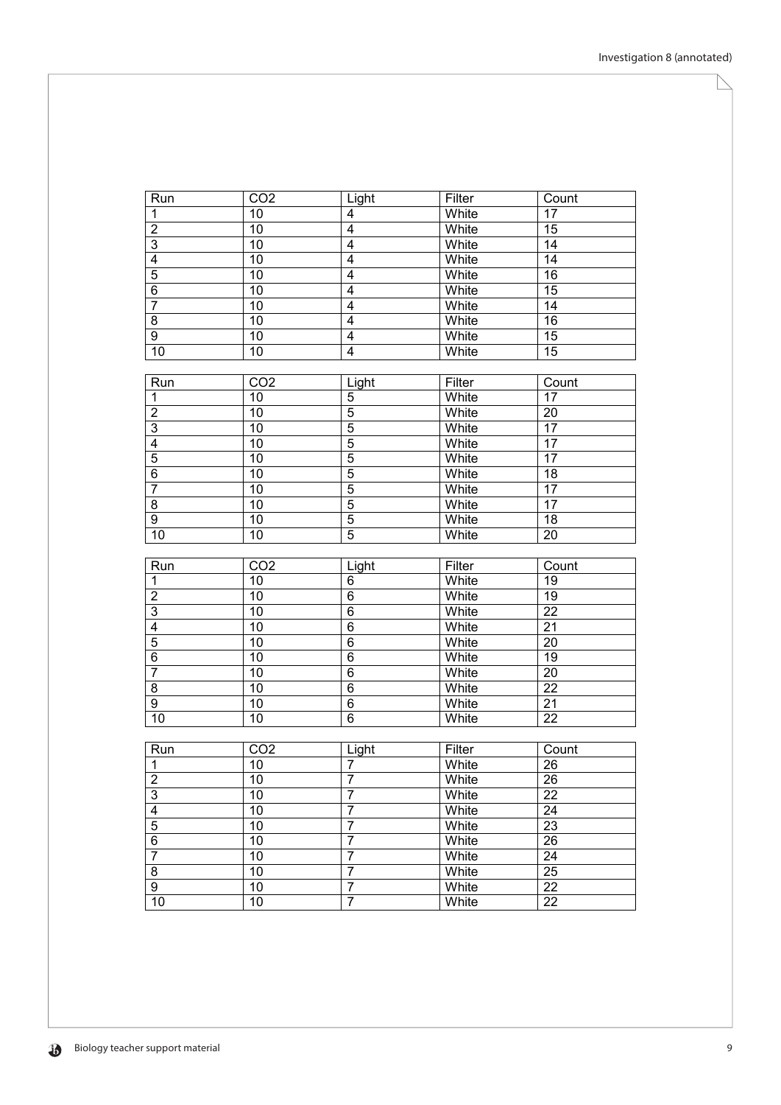| Run                     | CO <sub>2</sub>                    | Light                            | Filter         | Count                              |
|-------------------------|------------------------------------|----------------------------------|----------------|------------------------------------|
| $\mathbf{1}$            | 10                                 | $\overline{\mathbf{4}}$          | White          | 17                                 |
| $\overline{2}$          | $\overline{10}$                    | $\overline{4}$                   | White          | $\overline{15}$                    |
| $\overline{3}$          | 10                                 | $\overline{\mathbf{4}}$          | White          | $\overline{14}$                    |
| $\overline{4}$          | 10                                 | $\overline{\mathbf{4}}$          | White          | 14                                 |
| $\overline{5}$          | 10                                 | 4                                | White          | 16                                 |
| $\overline{6}$          | 10                                 | 4                                | White          | 15                                 |
| $\overline{7}$          | 10                                 | 4                                | White          | 14                                 |
| $\overline{8}$          | 10                                 | $\overline{4}$                   | White          | 16                                 |
| $\overline{9}$          | $10$                               | 4                                | White          | $\overline{15}$                    |
| 10                      | 10                                 | $\overline{\mathbf{4}}$          | White          | $\overline{15}$                    |
|                         |                                    |                                  |                |                                    |
| Run                     | CO <sub>2</sub>                    | Light                            | Filter         | Count                              |
| 1                       | 10                                 | $\overline{5}$                   | White          | 17                                 |
| $\overline{2}$          | 10                                 | $\overline{5}$                   | White          | 20                                 |
| $\overline{3}$          | 10                                 | $\overline{5}$                   | White          | $\overline{17}$                    |
| $\overline{4}$          | 10                                 | $\overline{5}$                   | White          | 17                                 |
| $\overline{5}$          | 10                                 | $\overline{5}$                   | White          | $\overline{17}$                    |
| $\,6$                   | 10                                 | 5                                | White          | 18                                 |
| $\overline{7}$          | 10                                 | $\overline{5}$                   | White          | 17                                 |
| $\bf 8$                 | 10                                 | 5                                | White          | 17                                 |
| 9                       | 10                                 | $\overline{5}$                   | White          | 18                                 |
| 10                      | 10                                 | 5                                | White          | 20                                 |
|                         |                                    |                                  |                |                                    |
|                         |                                    |                                  |                |                                    |
| Run                     | CO <sub>2</sub>                    | Light                            | Filter         | Count                              |
| 1                       | 10                                 | 6                                | White          | 19                                 |
| $\overline{2}$          | 10                                 | $\overline{6}$                   | White          | 19                                 |
| $\overline{3}$          | 10                                 | $\overline{6}$                   | White          | $\overline{22}$                    |
| $\overline{4}$          | 10                                 | $\overline{6}$                   | White          | $\overline{21}$                    |
| $\overline{5}$          | 10                                 | $\,6$                            | White          | 20                                 |
| $\overline{6}$          | 10                                 | $\overline{6}$                   | White          | 19                                 |
| $\overline{7}$          | 10                                 | 6                                | White          | 20                                 |
| $\overline{8}$          | 10                                 | $\overline{6}$                   | White          | $\overline{22}$                    |
| 9                       | 10                                 | 6                                | White          | $\overline{21}$                    |
| 10                      | 10                                 | 6                                | White          | $\overline{22}$                    |
|                         |                                    |                                  |                |                                    |
| Run                     | CO <sub>2</sub>                    | Light                            | Filter         | Count                              |
| $\mathbf{1}$            | 10                                 | $\overline{7}$                   | White          | $\overline{26}$                    |
| 2                       | 10                                 | 7                                | White          | 26                                 |
| $\overline{3}$          | 10                                 | $\overline{7}$                   | White          | $\overline{22}$                    |
| $\overline{\mathbf{4}}$ | 10                                 | $\overline{7}$                   | White          | 24                                 |
| $\overline{5}$          | 10                                 | $\overline{7}$                   | White          | 23                                 |
| $\,6$                   | 10                                 | 7                                | White          | 26                                 |
| $\overline{7}$          | 10                                 | $\overline{7}$                   | White          | 24                                 |
| 8                       | 10                                 | $\overline{7}$                   | White          | 25                                 |
| 9<br>10                 | $\overline{10}$<br>$\overline{10}$ | $\overline{7}$<br>$\overline{7}$ | White<br>White | $\overline{22}$<br>$\overline{22}$ |